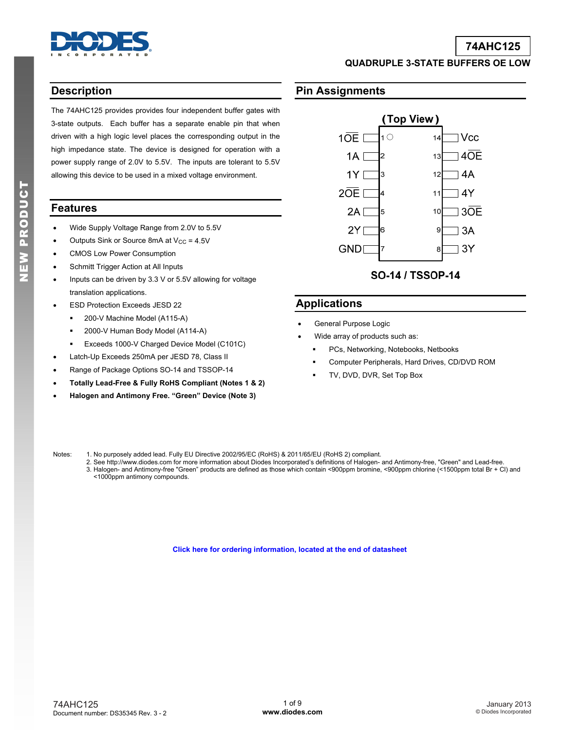

# **74AHC125**

**QUADRUPLE 3-STATE BUFFERS OE LOW** 

### **Description**

The 74AHC125 provides provides four independent buffer gates with 3-state outputs. Each buffer has a separate enable pin that when driven with a high logic level places the corresponding output in the high impedance state. The device is designed for operation with a power supply range of 2.0V to 5.5V. The inputs are tolerant to 5.5V allowing this device to be used in a mixed voltage environment.

### **Features**

- Wide Supply Voltage Range from 2.0V to 5.5V
- Outputs Sink or Source 8mA at  $V_{CC}$  = 4.5V
- CMOS Low Power Consumption
- Schmitt Trigger Action at All Inputs
- Inputs can be driven by 3.3 V or 5.5V allowing for voltage translation applications.
- ESD Protection Exceeds JESD 22
	- **200-V Machine Model (A115-A)**
	- 2000-V Human Body Model (A114-A)
	- **Exceeds 1000-V Charged Device Model (C101C)**
- Latch-Up Exceeds 250mA per JESD 78, Class II
- Range of Package Options SO-14 and TSSOP-14
- **Totally Lead-Free & Fully RoHS Compliant (Notes 1 & 2)**
- **Halogen and Antimony Free. "Green" Device (Note 3)**

### **Pin Assignments**



# SO-14 / TSSOP-14

### **Applications**

- General Purpose Logic
- Wide array of products such as:
	- **PCs, Networking, Notebooks, Netbooks**
	- Computer Peripherals, Hard Drives, CD/DVD ROM
	- TV, DVD, DVR, Set Top Box

Notes: 1. No purposely added lead. Fully EU Directive 2002/95/EC (RoHS) & 2011/65/EU (RoHS 2) compliant.

 2. See [http://www.diodes.com fo](http://www.diodes.com)r more information about Diodes Incorporated's definitions of Halogen- and Antimony-free, "Green" and Lead-free. 3. Halogen- and Antimony-free "Green" products are defined as those which contain <900ppm bromine, <900ppm chlorine (<1500ppm total Br + Cl) and <1000ppm antimony compounds.

**[Click here for ordering information, located at the end of datasheet](#page-5-0)**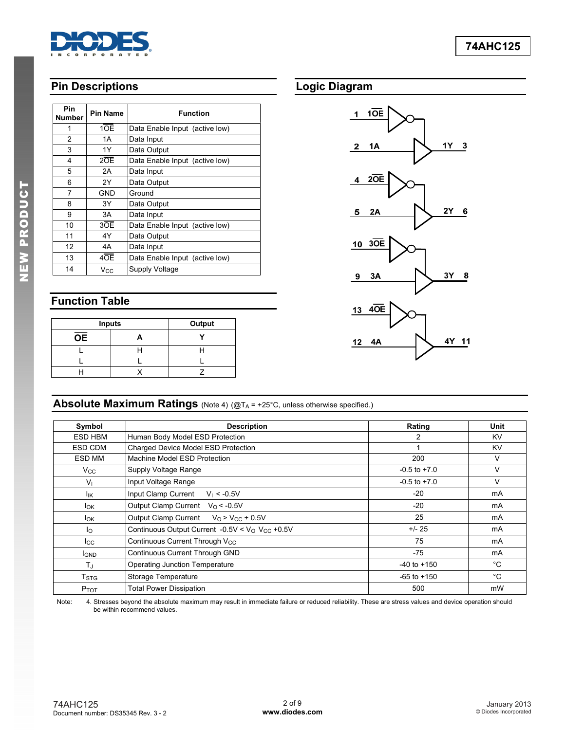

# **Pin Descriptions**

| <b>Pin</b><br>Number | <b>Pin Name</b>  | <b>Function</b>                |
|----------------------|------------------|--------------------------------|
| 1                    | 10E              | Data Enable Input (active low) |
| 2                    | 1A               | Data Input                     |
| 3                    | 1Y               | Data Output                    |
| 4                    | $2\overline{OE}$ | Data Enable Input (active low) |
| 5                    | 2A               | Data Input                     |
| 6                    | 2Y               | Data Output                    |
| 7                    | GND              | Ground                         |
| 8                    | 3Y               | Data Output                    |
| 9                    | 3A               | Data Input                     |
| 10                   | 3OE              | Data Enable Input (active low) |
| 11                   | 4Y               | Data Output                    |
| 12                   | 4A               | Data Input                     |
| 13                   | 4OE              | Data Enable Input (active low) |
| 14                   | $V_{CC}$         | Supply Voltage                 |

# **Function Table**

| <b>Inputs</b>   | Output |  |
|-----------------|--------|--|
| $\overline{OE}$ |        |  |
|                 |        |  |
|                 |        |  |
|                 |        |  |

# **Logic Diagram**



# **Absolute Maximum Ratings** (Note 4) (@TA = +25°C, unless otherwise specified.)

| Symbol           | <b>Description</b>                                                     | Rating           | Unit |
|------------------|------------------------------------------------------------------------|------------------|------|
| ESD HBM          | Human Body Model ESD Protection                                        | 2                | KV.  |
| ESD CDM          | Charged Device Model ESD Protection                                    |                  | KV   |
| ESD MM           | Machine Model ESD Protection                                           | 200              | V    |
| $V_{\rm CC}$     | Supply Voltage Range                                                   | $-0.5$ to $+7.0$ | V    |
| $V_{\perp}$      | Input Voltage Range                                                    | $-0.5$ to $+7.0$ | V    |
| lικ              | Input Clamp Current<br>$V_1 < -0.5V$                                   | $-20$            | mA   |
| <b>I</b> ok      | Output Clamp Current $V_0 < -0.5V$                                     | $-20$            | mA   |
| <b>I</b> ok      | Output Clamp Current $V_0 > V_{CC} + 0.5V$                             | 25               | mA   |
| lo               | Continuous Output Current -0.5V < V <sub>O</sub> V <sub>CC</sub> +0.5V | $+/- 25$         | mA   |
| $_{\rm lcc}$     | Continuous Current Through V <sub>CC</sub>                             | 75               | mA   |
| <b>I</b> GND     | Continuous Current Through GND                                         | $-75$            | mA   |
| $T_{\rm J}$      | <b>Operating Junction Temperature</b>                                  | $-40$ to $+150$  | °С   |
| T <sub>STG</sub> | Storage Temperature                                                    |                  | °С   |
| $P_{TOT}$        | <b>Total Power Dissipation</b>                                         | 500              | mW   |

Note: 4. Stresses beyond the absolute maximum may result in immediate failure or reduced reliability. These are stress values and device operation should be within recommend values.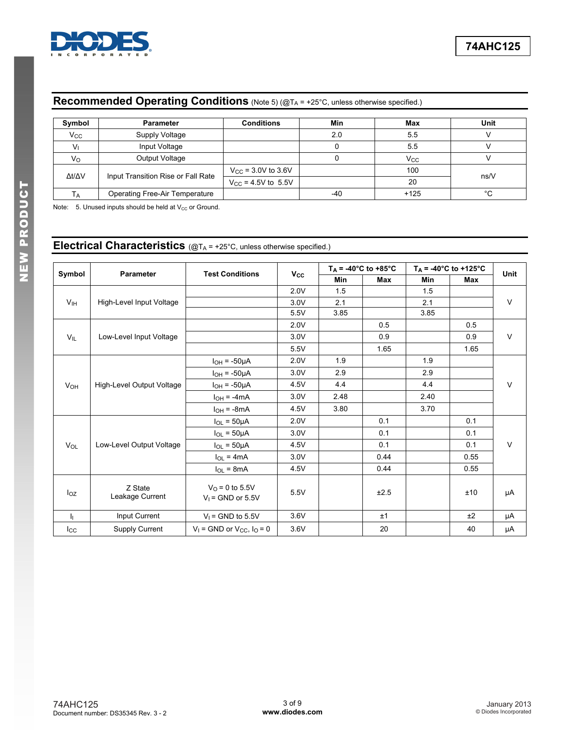

# **Recommended Operating Conditions** (Note 5) (@TA = +25°C, unless otherwise specified.)

| Symbol       | <b>Parameter</b>                   | <b>Conditions</b>           | Min | Max                   | Unit |
|--------------|------------------------------------|-----------------------------|-----|-----------------------|------|
| $V_{\rm CC}$ | Supply Voltage                     |                             | 2.0 | 5.5                   |      |
|              | Input Voltage                      |                             |     | 5.5                   |      |
| Vo           | Output Voltage                     |                             | u   | <b>V<sub>cc</sub></b> |      |
| Δt/ΔV        | Input Transition Rise or Fall Rate | $V_{\rm CC}$ = 3.0V to 3.6V |     | 100                   | ns/V |
|              |                                    | $V_{CC}$ = 4.5V to 5.5V     |     | 20                    |      |
| Тд           | Operating Free-Air Temperature     |                             | -40 | $+125$                | °С   |

Note:  $5.$  Unused inputs should be held at  $V_{CC}$  or Ground.

**Electrical Characteristics** (@TA = +25°C, unless otherwise specified.)

|                 | <b>Parameter</b>           |                                                 |              | $T_A = -40^{\circ}C$ to $+85^{\circ}C$ |      | $T_A = -40^{\circ}C$ to +125°C |      | Unit   |  |
|-----------------|----------------------------|-------------------------------------------------|--------------|----------------------------------------|------|--------------------------------|------|--------|--|
| Symbol          |                            | <b>Test Conditions</b>                          | $V_{\rm CC}$ | <b>Min</b>                             | Max  | <b>Min</b>                     | Max  |        |  |
|                 |                            |                                                 | 2.0V         | 1.5                                    |      | 1.5                            |      |        |  |
| V <sub>IH</sub> | High-Level Input Voltage   |                                                 | 3.0V         | 2.1                                    |      | 2.1                            |      | $\vee$ |  |
|                 |                            |                                                 | 5.5V         | 3.85                                   |      | 3.85                           |      |        |  |
|                 |                            |                                                 | 2.0V         |                                        | 0.5  |                                | 0.5  |        |  |
| $V_{IL}$        | Low-Level Input Voltage    |                                                 | 3.0V         |                                        | 0.9  |                                | 0.9  | V      |  |
|                 |                            |                                                 | 5.5V         |                                        | 1.65 |                                | 1.65 |        |  |
|                 |                            | $I_{OH} = -50\mu A$                             | 2.0V         | 1.9                                    |      | 1.9                            |      |        |  |
|                 | High-Level Output Voltage  | $I_{OH} = -50 \mu A$                            | 3.0V         | 2.9                                    |      | 2.9                            |      |        |  |
| VOH             |                            | $I_{OH} = -50 \mu A$                            | 4.5V         | 4.4                                    |      | 4.4                            |      | V      |  |
|                 |                            | $I_{OH} = -4mA$                                 | 3.0V         | 2.48                                   |      | 2.40                           |      |        |  |
|                 |                            | $I_{OH} = -8mA$                                 | 4.5V         | 3.80                                   |      | 3.70                           |      |        |  |
|                 |                            | $I_{OL}$ = 50 $\mu$ A                           | 2.0V         |                                        | 0.1  |                                | 0.1  |        |  |
|                 |                            | $I_{OL}$ = 50µA                                 | 3.0V         |                                        | 0.1  |                                | 0.1  |        |  |
| $V_{OL}$        | Low-Level Output Voltage   | $I_{OL} = 50 \mu A$                             | 4.5V         |                                        | 0.1  |                                | 0.1  | V      |  |
|                 |                            | $I_{OL} = 4mA$                                  | 3.0V         |                                        | 0.44 |                                | 0.55 |        |  |
|                 |                            | $I_{OL} = 8mA$                                  | 4.5V         |                                        | 0.44 |                                | 0.55 |        |  |
| $I_{OZ}$        | Z State<br>Leakage Current | $V_{\Omega}$ = 0 to 5.5V<br>$V_1$ = GND or 5.5V | 5.5V         |                                        | ±2.5 |                                | ±10  | μA     |  |
| h.              | Input Current              | $V_1$ = GND to 5.5V                             | 3.6V         |                                        | ±1   |                                | ±2   | μA     |  |
| $I_{\rm CC}$    | Supply Current             | $V_1$ = GND or $V_{CC}$ , $I_0$ = 0             | 3.6V         |                                        | 20   |                                | 40   | μA     |  |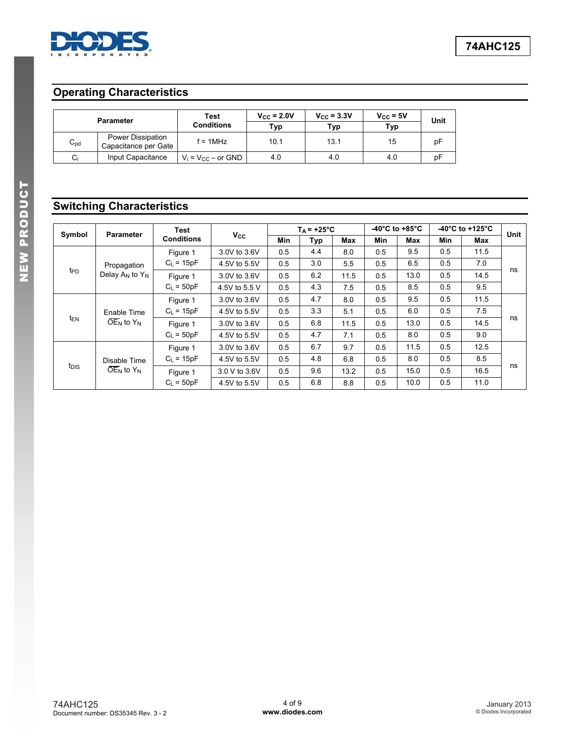

# **Operating Characteristics**

|          | <b>Parameter</b>                          | <b>Test</b><br><b>Conditions</b> | $V_{CC}$ = 2.0V<br>Typ | $V_{CC}$ = 3.3V<br>Тур | $V_{CC}$ = 5V<br>Typ | Unit |
|----------|-------------------------------------------|----------------------------------|------------------------|------------------------|----------------------|------|
| $C_{pd}$ | Power Dissipation<br>Capacitance per Gate | $f = 1MHz$                       | 10.1                   | 13.1                   | 15                   | рF   |
| Ci       | Input Capacitance                         | $V_i = V_{CC} - or GND$          | 4.0                    | 4.0                    | 4.0                  | pF   |

# **Switching Characteristics**

| Symbol           | <b>Parameter</b>                                                   | <b>Test</b>       |              |               | $T_A$ = +25°C |            |      | -40 $^{\circ}$ C to +85 $^{\circ}$ C |            | -40 $^{\circ}$ C to +125 $^{\circ}$ C | Unit |     |  |
|------------------|--------------------------------------------------------------------|-------------------|--------------|---------------|---------------|------------|------|--------------------------------------|------------|---------------------------------------|------|-----|--|
|                  |                                                                    | <b>Conditions</b> | <b>Vcc</b>   | <b>Min</b>    | Typ           | <b>Max</b> | Min  | <b>Max</b>                           | <b>Min</b> | <b>Max</b>                            |      |     |  |
|                  |                                                                    | Figure 1          | 3.0V to 3.6V | 0.5           | 4.4           | 8.0        | 0.5  | 9.5                                  | 0.5        | 11.5                                  |      |     |  |
|                  | Propagation                                                        | $C_L = 15pF$      | 4.5V to 5.5V | 0.5           | 3.0           | 5.5        | 0.5  | 6.5                                  | 0.5        | 7.0                                   |      |     |  |
| t <sub>PD</sub>  | Delay $A_N$ to $Y_N$                                               | Figure 1          | 3.0V to 3.6V | 0.5           | 6.2           | 11.5       | 0.5  | 13.0                                 | 0.5        | 14.5                                  | ns   |     |  |
|                  |                                                                    |                   |              | $C_L = 50pF$  | 4.5V to 5.5 V | 0.5        | 4.3  | 7.5                                  | 0.5        | 8.5                                   | 0.5  | 9.5 |  |
|                  | Enable Time<br>$\overline{\text{OE}}_{\text{N}}$ to $Y_{\text{N}}$ |                   | Figure 1     | 3.0V to 3.6V  | 0.5           | 4.7        | 8.0  | 0.5                                  | 9.5        | 0.5                                   | 11.5 |     |  |
|                  |                                                                    | $C_L$ = 15pF      | 4.5V to 5.5V | 0.5           | 3.3           | 5.1        | 0.5  | 6.0                                  | 0.5        | 7.5                                   |      |     |  |
| t <sub>EN</sub>  |                                                                    |                   | Figure 1     | 3.0V to 3.6V  | 0.5           | 6.8        | 11.5 | 0.5                                  | 13.0       | 0.5                                   | 14.5 | ns  |  |
|                  |                                                                    |                   | $C_L = 50pF$ | 4.5V to 5.5V  | 0.5           | 4.7        | 7.1  | 0.5                                  | 8.0        | 0.5                                   | 9.0  |     |  |
|                  |                                                                    | Figure 1          | 3.0V to 3.6V | 0.5           | 6.7           | 9.7        | 0.5  | 11.5                                 | 0.5        | 12.5                                  |      |     |  |
| t <sub>DIS</sub> | Disable Time<br>$\overline{\text{OE}}_N$ to $Y_N$                  |                   | $C_L$ = 15pF | 4.5V to 5.5V  | 0.5           | 4.8        | 6.8  | 0.5                                  | 8.0        | 0.5                                   | 8.5  |     |  |
|                  |                                                                    |                   | Figure 1     | 3.0 V to 3.6V | 0.5           | 9.6        | 13.2 | 0.5                                  | 15.0       | 0.5                                   | 16.5 | ns  |  |
|                  |                                                                    | $C_1 = 50pF$      | 4.5V to 5.5V | 0.5           | 6.8           | 8.8        | 0.5  | 10.0                                 | 0.5        | 11.0                                  |      |     |  |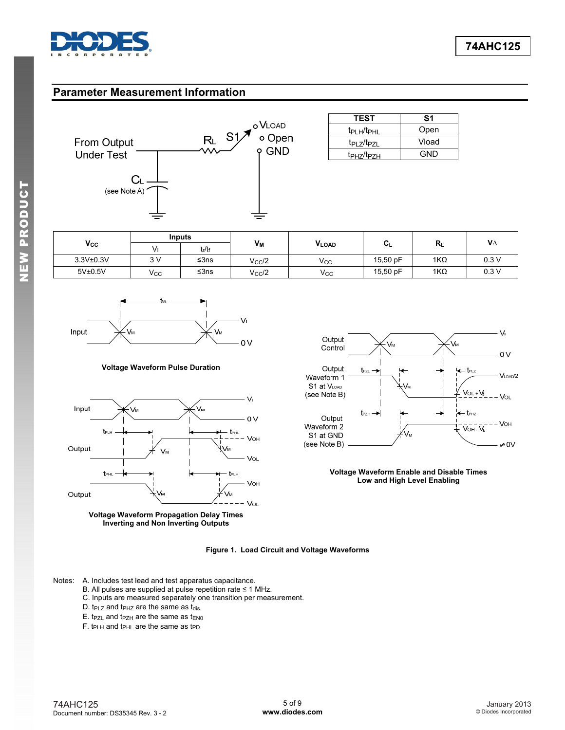

### **Parameter Measurement Information**



| <b>TEST</b>                         | S1    |
|-------------------------------------|-------|
| t <sub>PLH</sub> /t <sub>PHL</sub>  | Open  |
| t <sub>PI 7</sub> /t <sub>P7I</sub> | Vload |
| t <sub>PH7</sub> /t <sub>P7H</sub>  | GND   |

|           | <b>Inputs</b> |           |                 |              |          |            | $V\Delta$ |
|-----------|---------------|-----------|-----------------|--------------|----------|------------|-----------|
| Vcc       |               | $t_r/t_f$ | Vм              | <b>VLOAD</b> | ◡∟       | $R_L$      |           |
| 3.3V±0.3V | 3V            | ≤ $3ns$   | $V_{\rm CC}$ /2 | Vcc          | 15,50 pF | $1K\Omega$ | 0.3V      |
| 5V±0.5V   | Vcc           | ≤ $3ns$   | $V_{\rm CC}$ /2 | $V_{\rm CC}$ | 15,50 pF | $1K\Omega$ | 0.3V      |



#### **Voltage Waveform Pulse Duration**







#### **Voltage Waveform Enable and Disable Times Low and High Level Enabling**

**Figure 1. Load Circuit and Voltage Waveforms** 

Notes: A. Includes test lead and test apparatus capacitance.

- B. All pulses are supplied at pulse repetition rate ≤ 1 MHz.
- C. Inputs are measured separately one transition per measurement.
- D.  $t_{PLZ}$  and  $t_{PHZ}$  are the same as  $t_{dis.}$
- $E.$  t<sub>PZL</sub> and t<sub>PZH</sub> are the same as t<sub>EN0</sub>
- F. t<sub>PLH</sub> and t<sub>PHL</sub> are the same as t<sub>PD.</sub>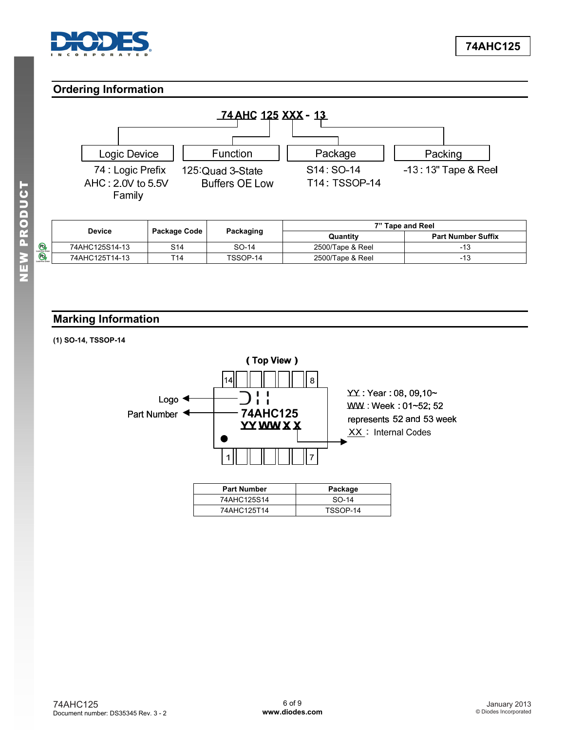<span id="page-5-0"></span>

# **Ordering Information**



|                | Package Code<br><b>Device</b> |           | 7" Tape and Reel |                           |  |
|----------------|-------------------------------|-----------|------------------|---------------------------|--|
|                |                               | Packaging | Quantity         | <b>Part Number Suffix</b> |  |
| 74AHC125S14-13 | S14                           | SO-14     | 2500/Tape & Reel | -13                       |  |
| 74AHC125T14-13 | T14                           | TSSOP-14  | 2500/Tape & Reel | -13                       |  |

# **Marking Information**

### **(1) SO-14, TSSOP-14**



| <b>Part Number</b> | Package  |
|--------------------|----------|
| 74AHC125S14        | $SO-14$  |
| 74AHC125T14        | TSSOP-14 |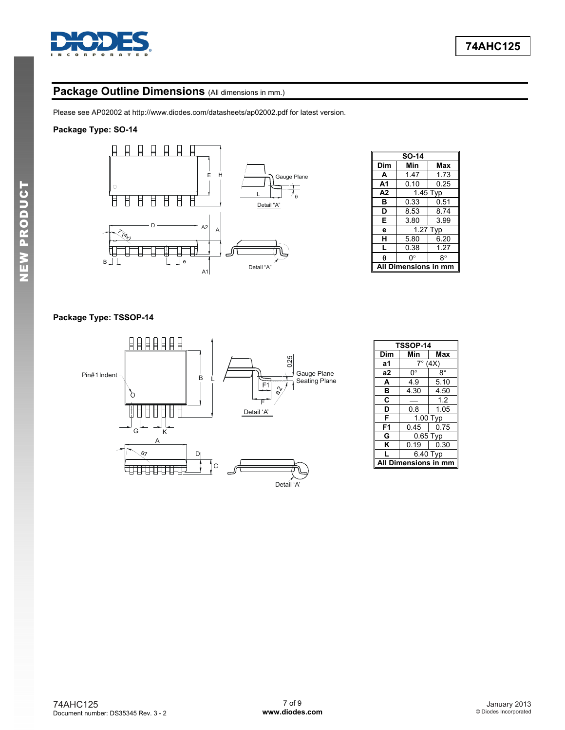

# Package Outline Dimensions (All dimensions in mm.)

Please see AP02002 at [http://www.diodes.com/datasheets/ap02002.pdf fo](http://www.diodes.com/datasheets/ap02002.pdf)r latest version.

### **Package Type: SO-14**



|                | <b>SO-14</b>           |            |  |  |  |  |
|----------------|------------------------|------------|--|--|--|--|
| Dim            | Min                    | Max        |  |  |  |  |
| A              | 1.47                   | 1.73       |  |  |  |  |
| A <sub>1</sub> | 0.10                   | 0.25       |  |  |  |  |
| A <sub>2</sub> | $\overline{1}$ .45 Typ |            |  |  |  |  |
| в              | 0.33                   | 0.51       |  |  |  |  |
| D              | 8.53                   | 8.74       |  |  |  |  |
| Е              | 3.80                   | 3.99       |  |  |  |  |
| e              |                        | $1.27$ Typ |  |  |  |  |
| н              | 5.80                   | 6.20       |  |  |  |  |
| L              | 0.38                   | 1.27       |  |  |  |  |
| θ              | ŋ۰                     | 8°         |  |  |  |  |
|                | Dimensions in          |            |  |  |  |  |

### **Package Type: TSSOP-14**



| TSSOP-14        |                |             |
|-----------------|----------------|-------------|
| Dim             | Min            | Max         |
| а1              | $7^\circ$ (4X) |             |
| a2              | 0°             | $8^{\circ}$ |
| A               | 4.9            | 5.10        |
| B               | 4.30           | 4.50        |
| C               |                | 1.2         |
| D               | 0.8            | 1.05        |
| F               | 1.00 Typ       |             |
| F1              | 0.45           | 0.75        |
| G               | $0.65$ Typ     |             |
| ĸ               | 0.19           | 0.30        |
| L               | 6.40 Typ       |             |
| Dimensions in m |                |             |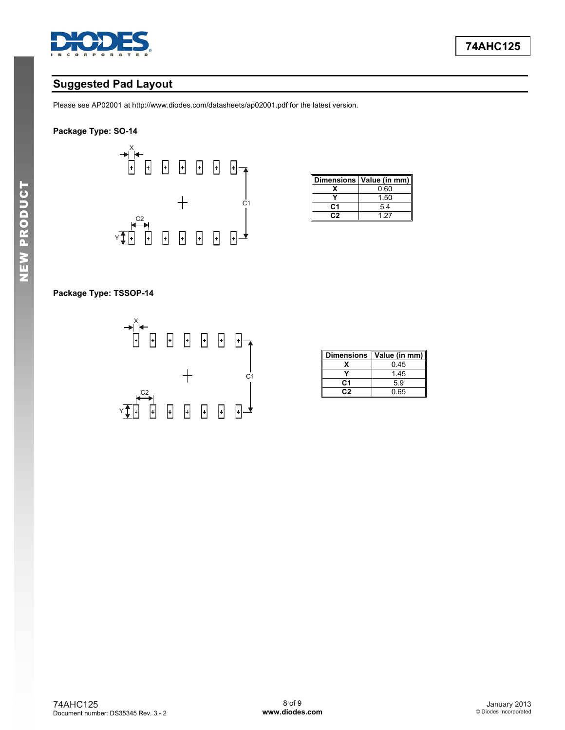

# **Suggested Pad Layout**

Please see AP02001 at [http://www.diodes.com/datasheets/ap02001.pdf fo](http://www.diodes.com/datasheets/ap02001.pdf)r the latest version.

### **Package Type: SO-14**



|    | Dimensions   Value (in mm) |
|----|----------------------------|
|    | 0.60                       |
|    | 1.50                       |
| C1 | 5.4                        |
|    | 1 27                       |

### **Package Type: TSSOP-14**



| <b>Dimensions</b> | Value (in mm) |
|-------------------|---------------|
|                   | 0.45          |
|                   | 1.45          |
| C1                | 5.9           |
| מיִ               | 0.65          |